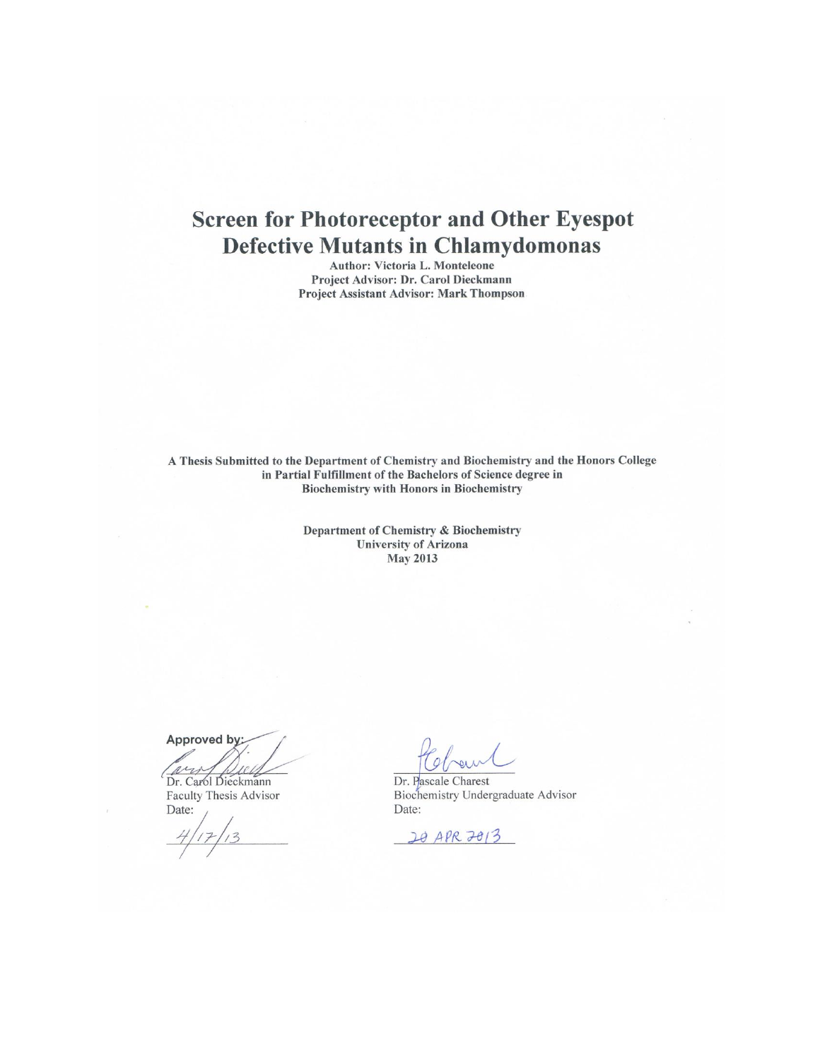# **Screen for Photoreceptor and Other Eyespot Defective Mutants in Chlamydomonas**

Author: Victoria L. Monteleone Project Advisor: Dr. Carol Dieckmann Project Assistant Advisor: Mark Thompson

A Thesis Submitted to the Department of Chemistry and Biochemistry and the Honors College in Partial Fulfillment of the Bachelors of Science degree in **Biochemistry with Honors in Biochemistry** 

> Department of Chemistry & Biochemistry **University of Arizona May 2013**

Approved by:

Dr. Carol Dieckmann Faculty Thesis Advisor Date:

reun

Dr. Pascale Charest Biochemistry Undergraduate Advisor Date:

20 APR 2013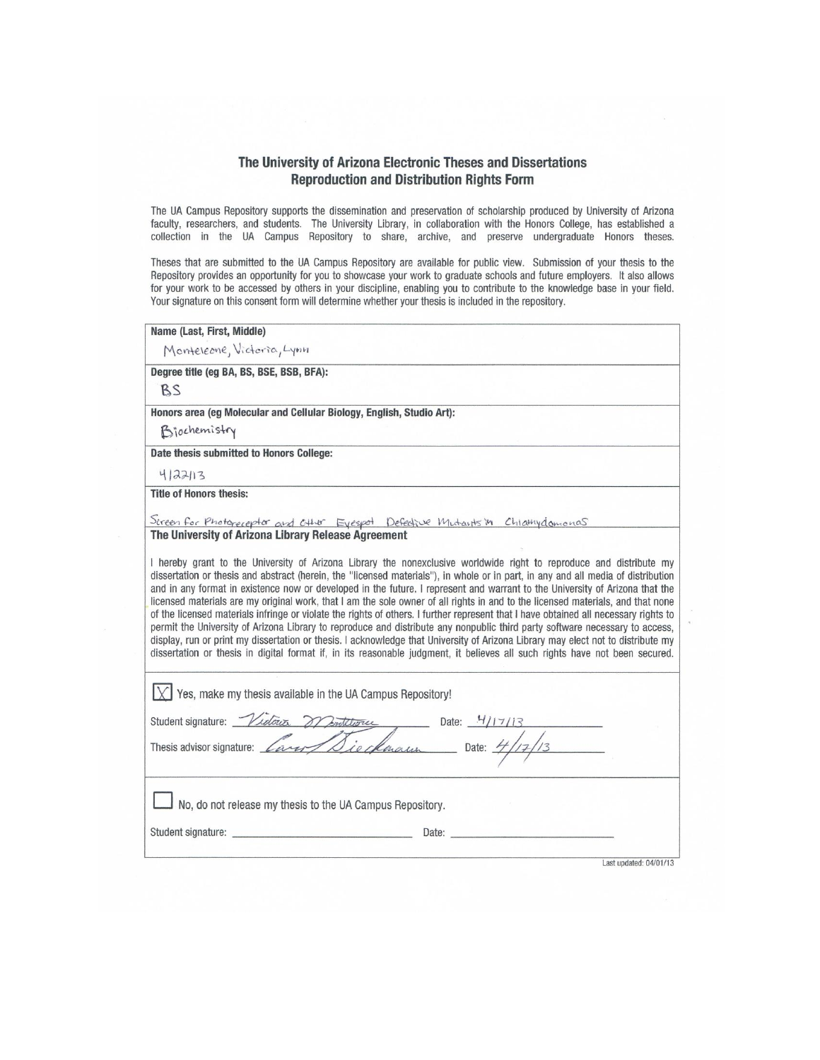#### The University of Arizona Electronic Theses and Dissertations **Reproduction and Distribution Rights Form**

The UA Campus Repository supports the dissemination and preservation of scholarship produced by University of Arizona faculty, researchers, and students. The University Library, in collaboration with the Honors College, has established a collection in the UA Campus Repository to share, archive, and preserve undergraduate Honors theses.

Theses that are submitted to the UA Campus Repository are available for public view. Submission of your thesis to the Repository provides an opportunity for you to showcase your work to graduate schools and future employers. It also allows for your work to be accessed by others in your discipline, enabling you to contribute to the knowledge base in your field. Your signature on this consent form will determine whether your thesis is included in the repository.

| Name (Last, First, Middle)                                                                                                                                                                                                                                                                                                                                                                                                                                                                                                                                                                                                                                                                                                                                                                                 |                        |
|------------------------------------------------------------------------------------------------------------------------------------------------------------------------------------------------------------------------------------------------------------------------------------------------------------------------------------------------------------------------------------------------------------------------------------------------------------------------------------------------------------------------------------------------------------------------------------------------------------------------------------------------------------------------------------------------------------------------------------------------------------------------------------------------------------|------------------------|
| Monteleone, Victoria, Lynn                                                                                                                                                                                                                                                                                                                                                                                                                                                                                                                                                                                                                                                                                                                                                                                 |                        |
| Degree title (eg BA, BS, BSE, BSB, BFA):                                                                                                                                                                                                                                                                                                                                                                                                                                                                                                                                                                                                                                                                                                                                                                   |                        |
| BS                                                                                                                                                                                                                                                                                                                                                                                                                                                                                                                                                                                                                                                                                                                                                                                                         |                        |
| Honors area (eg Molecular and Cellular Biology, English, Studio Art):                                                                                                                                                                                                                                                                                                                                                                                                                                                                                                                                                                                                                                                                                                                                      |                        |
| Biochemistry                                                                                                                                                                                                                                                                                                                                                                                                                                                                                                                                                                                                                                                                                                                                                                                               |                        |
| Date thesis submitted to Honors College:                                                                                                                                                                                                                                                                                                                                                                                                                                                                                                                                                                                                                                                                                                                                                                   |                        |
| 4/22/13                                                                                                                                                                                                                                                                                                                                                                                                                                                                                                                                                                                                                                                                                                                                                                                                    |                        |
| <b>Title of Honors thesis:</b>                                                                                                                                                                                                                                                                                                                                                                                                                                                                                                                                                                                                                                                                                                                                                                             |                        |
| Sireen for Photoreceptor and CH4r Eyespot Defective Mutarits in Chlamydomonas                                                                                                                                                                                                                                                                                                                                                                                                                                                                                                                                                                                                                                                                                                                              |                        |
|                                                                                                                                                                                                                                                                                                                                                                                                                                                                                                                                                                                                                                                                                                                                                                                                            |                        |
| and in any format in existence now or developed in the future. I represent and warrant to the University of Arizona that the<br>licensed materials are my original work, that I am the sole owner of all rights in and to the licensed materials, and that none<br>of the licensed materials infringe or violate the rights of others. I further represent that I have obtained all necessary rights to<br>permit the University of Arizona Library to reproduce and distribute any nonpublic third party software necessary to access,<br>display, run or print my dissertation or thesis. I acknowledge that University of Arizona Library may elect not to distribute my<br>dissertation or thesis in digital format if, in its reasonable judgment, it believes all such rights have not been secured. |                        |
| $\chi$ Yes, make my thesis available in the UA Campus Repository!                                                                                                                                                                                                                                                                                                                                                                                                                                                                                                                                                                                                                                                                                                                                          |                        |
|                                                                                                                                                                                                                                                                                                                                                                                                                                                                                                                                                                                                                                                                                                                                                                                                            |                        |
| Student signature: Vidoux Montitures Date: 4/17/13                                                                                                                                                                                                                                                                                                                                                                                                                                                                                                                                                                                                                                                                                                                                                         |                        |
| No, do not release my thesis to the UA Campus Repository.                                                                                                                                                                                                                                                                                                                                                                                                                                                                                                                                                                                                                                                                                                                                                  |                        |
|                                                                                                                                                                                                                                                                                                                                                                                                                                                                                                                                                                                                                                                                                                                                                                                                            |                        |
|                                                                                                                                                                                                                                                                                                                                                                                                                                                                                                                                                                                                                                                                                                                                                                                                            | Last updated: 04/01/13 |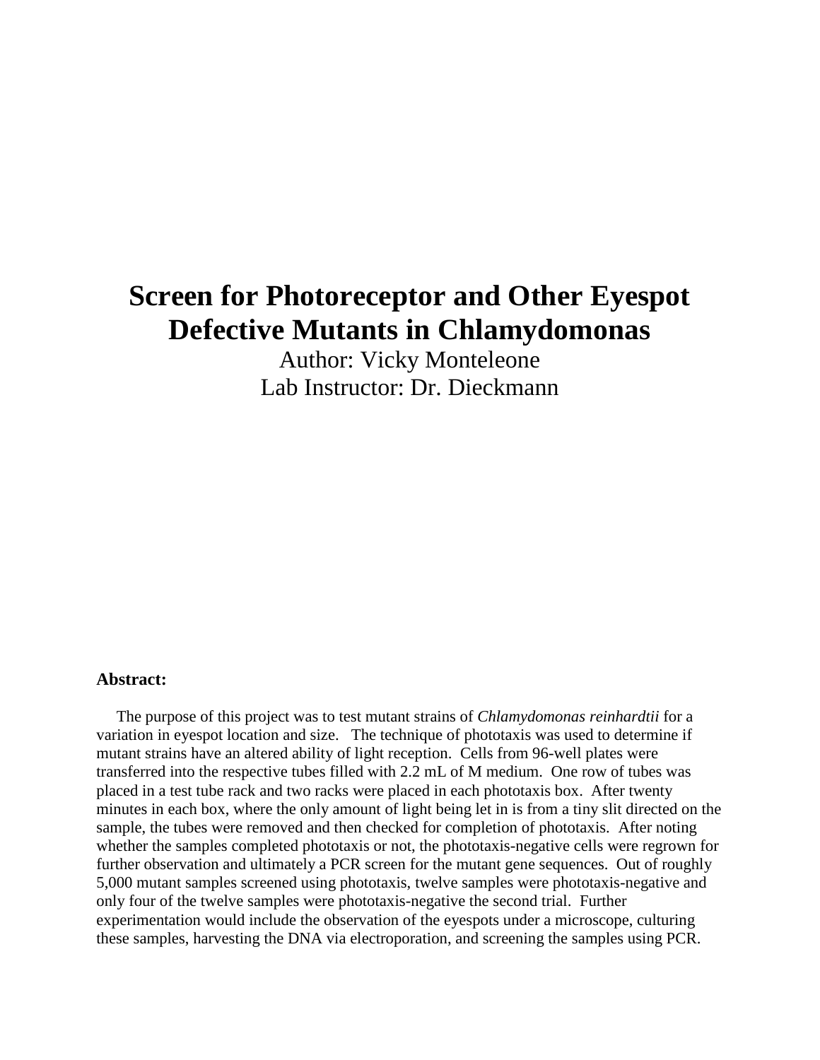# **Screen for Photoreceptor and Other Eyespot Defective Mutants in Chlamydomonas**

Author: Vicky Monteleone Lab Instructor: Dr. Dieckmann

#### **Abstract:**

 The purpose of this project was to test mutant strains of *Chlamydomonas reinhardtii* for a variation in eyespot location and size. The technique of phototaxis was used to determine if mutant strains have an altered ability of light reception. Cells from 96-well plates were transferred into the respective tubes filled with 2.2 mL of M medium. One row of tubes was placed in a test tube rack and two racks were placed in each phototaxis box. After twenty minutes in each box, where the only amount of light being let in is from a tiny slit directed on the sample, the tubes were removed and then checked for completion of phototaxis. After noting whether the samples completed phototaxis or not, the phototaxis-negative cells were regrown for further observation and ultimately a PCR screen for the mutant gene sequences. Out of roughly 5,000 mutant samples screened using phototaxis, twelve samples were phototaxis-negative and only four of the twelve samples were phototaxis-negative the second trial. Further experimentation would include the observation of the eyespots under a microscope, culturing these samples, harvesting the DNA via electroporation, and screening the samples using PCR.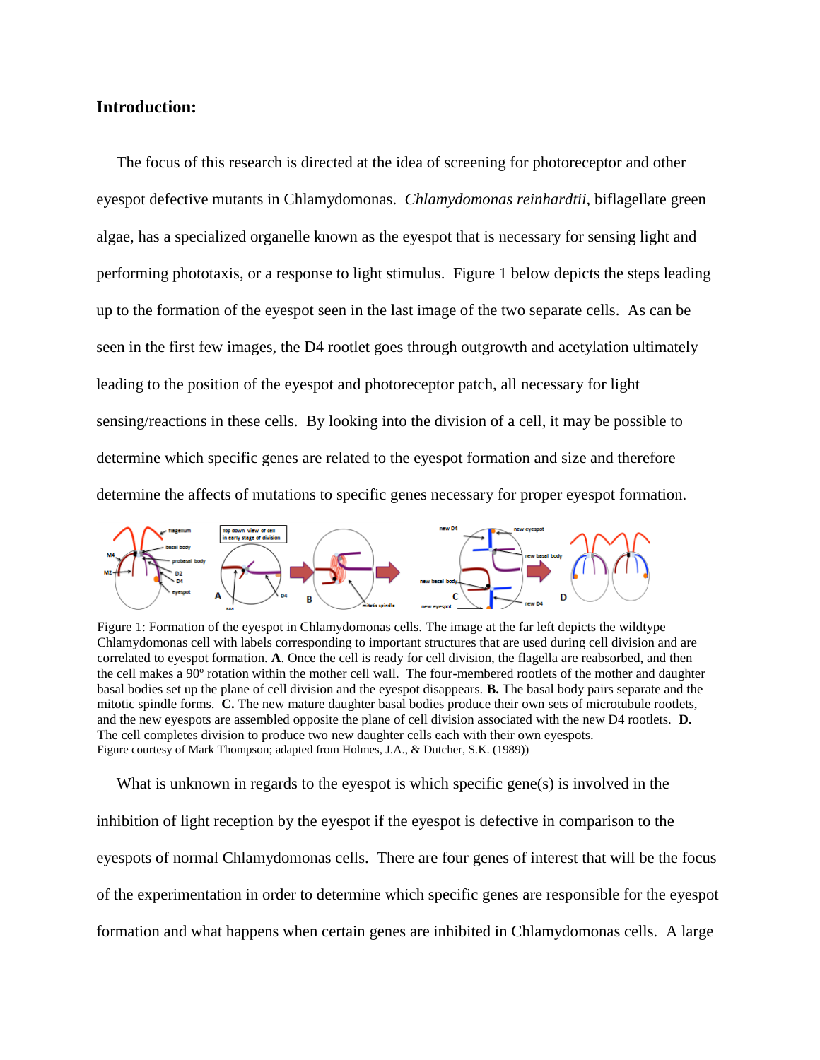### **Introduction:**

 The focus of this research is directed at the idea of screening for photoreceptor and other eyespot defective mutants in Chlamydomonas. *Chlamydomonas reinhardtii,* biflagellate green algae, has a specialized organelle known as the eyespot that is necessary for sensing light and performing phototaxis, or a response to light stimulus. Figure 1 below depicts the steps leading up to the formation of the eyespot seen in the last image of the two separate cells. As can be seen in the first few images, the D4 rootlet goes through outgrowth and acetylation ultimately leading to the position of the eyespot and photoreceptor patch, all necessary for light sensing/reactions in these cells. By looking into the division of a cell, it may be possible to determine which specific genes are related to the eyespot formation and size and therefore determine the affects of mutations to specific genes necessary for proper eyespot formation.



Figure 1: Formation of the eyespot in Chlamydomonas cells. The image at the far left depicts the wildtype Chlamydomonas cell with labels corresponding to important structures that are used during cell division and are correlated to eyespot formation. **A**. Once the cell is ready for cell division, the flagella are reabsorbed, and then the cell makes a 90º rotation within the mother cell wall. The four-membered rootlets of the mother and daughter basal bodies set up the plane of cell division and the eyespot disappears. **B.** The basal body pairs separate and the mitotic spindle forms. **C.** The new mature daughter basal bodies produce their own sets of microtubule rootlets, and the new eyespots are assembled opposite the plane of cell division associated with the new D4 rootlets. **D.** The cell completes division to produce two new daughter cells each with their own eyespots. Figure courtesy of Mark Thompson; adapted from Holmes, J.A., & Dutcher, S.K. (1989))

What is unknown in regards to the eyespot is which specific gene(s) is involved in the inhibition of light reception by the eyespot if the eyespot is defective in comparison to the eyespots of normal Chlamydomonas cells. There are four genes of interest that will be the focus of the experimentation in order to determine which specific genes are responsible for the eyespot formation and what happens when certain genes are inhibited in Chlamydomonas cells. A large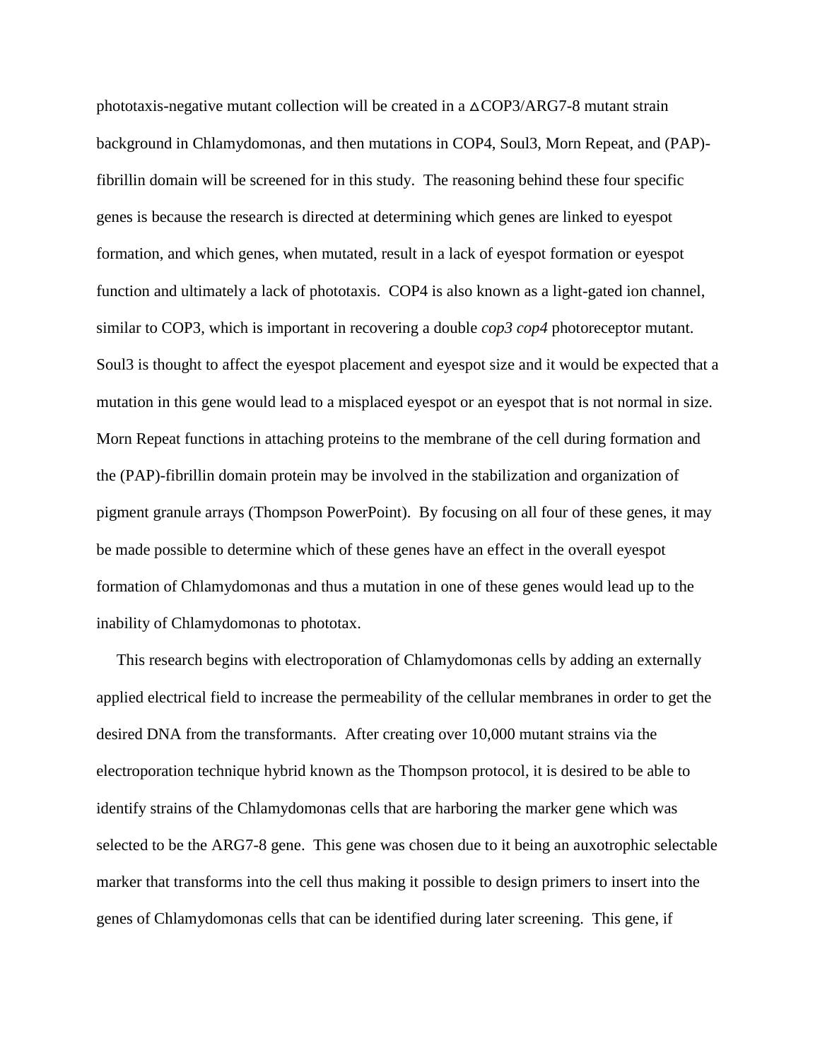phototaxis-negative mutant collection will be created in a  $\triangle$ COP3/ARG7-8 mutant strain background in Chlamydomonas, and then mutations in COP4, Soul3, Morn Repeat, and (PAP) fibrillin domain will be screened for in this study. The reasoning behind these four specific genes is because the research is directed at determining which genes are linked to eyespot formation, and which genes, when mutated, result in a lack of eyespot formation or eyespot function and ultimately a lack of phototaxis. COP4 is also known as a light-gated ion channel, similar to COP3, which is important in recovering a double *cop3 cop4* photoreceptor mutant. Soul3 is thought to affect the eyespot placement and eyespot size and it would be expected that a mutation in this gene would lead to a misplaced eyespot or an eyespot that is not normal in size. Morn Repeat functions in attaching proteins to the membrane of the cell during formation and the (PAP)-fibrillin domain protein may be involved in the stabilization and organization of pigment granule arrays (Thompson PowerPoint). By focusing on all four of these genes, it may be made possible to determine which of these genes have an effect in the overall eyespot formation of Chlamydomonas and thus a mutation in one of these genes would lead up to the inability of Chlamydomonas to phototax.

 This research begins with electroporation of Chlamydomonas cells by adding an externally applied electrical field to increase the permeability of the cellular membranes in order to get the desired DNA from the transformants. After creating over 10,000 mutant strains via the electroporation technique hybrid known as the Thompson protocol, it is desired to be able to identify strains of the Chlamydomonas cells that are harboring the marker gene which was selected to be the ARG7-8 gene. This gene was chosen due to it being an auxotrophic selectable marker that transforms into the cell thus making it possible to design primers to insert into the genes of Chlamydomonas cells that can be identified during later screening. This gene, if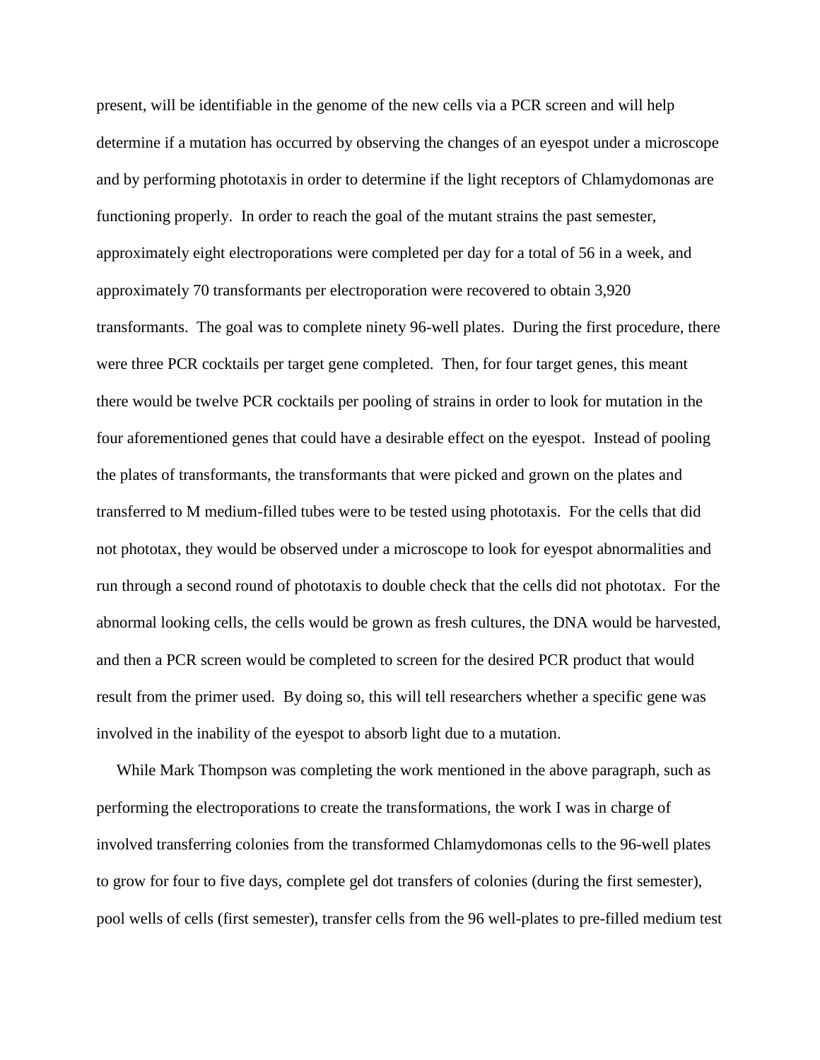present, will be identifiable in the genome of the new cells via a PCR screen and will help determine if a mutation has occurred by observing the changes of an eyespot under a microscope and by performing phototaxis in order to determine if the light receptors of Chlamydomonas are functioning properly. In order to reach the goal of the mutant strains the past semester, approximately eight electroporations were completed per day for a total of 56 in a week, and approximately 70 transformants per electroporation were recovered to obtain 3,920 transformants. The goal was to complete ninety 96-well plates. During the first procedure, there were three PCR cocktails per target gene completed. Then, for four target genes, this meant there would be twelve PCR cocktails per pooling of strains in order to look for mutation in the four aforementioned genes that could have a desirable effect on the eyespot. Instead of pooling the plates of transformants, the transformants that were picked and grown on the plates and transferred to M medium-filled tubes were to be tested using phototaxis. For the cells that did not phototax, they would be observed under a microscope to look for eyespot abnormalities and run through a second round of phototaxis to double check that the cells did not phototax. For the abnormal looking cells, the cells would be grown as fresh cultures, the DNA would be harvested, and then a PCR screen would be completed to screen for the desired PCR product that would result from the primer used. By doing so, this will tell researchers whether a specific gene was involved in the inability of the eyespot to absorb light due to a mutation.

 While Mark Thompson was completing the work mentioned in the above paragraph, such as performing the electroporations to create the transformations, the work I was in charge of involved transferring colonies from the transformed Chlamydomonas cells to the 96-well plates to grow for four to five days, complete gel dot transfers of colonies (during the first semester), pool wells of cells (first semester), transfer cells from the 96 well-plates to pre-filled medium test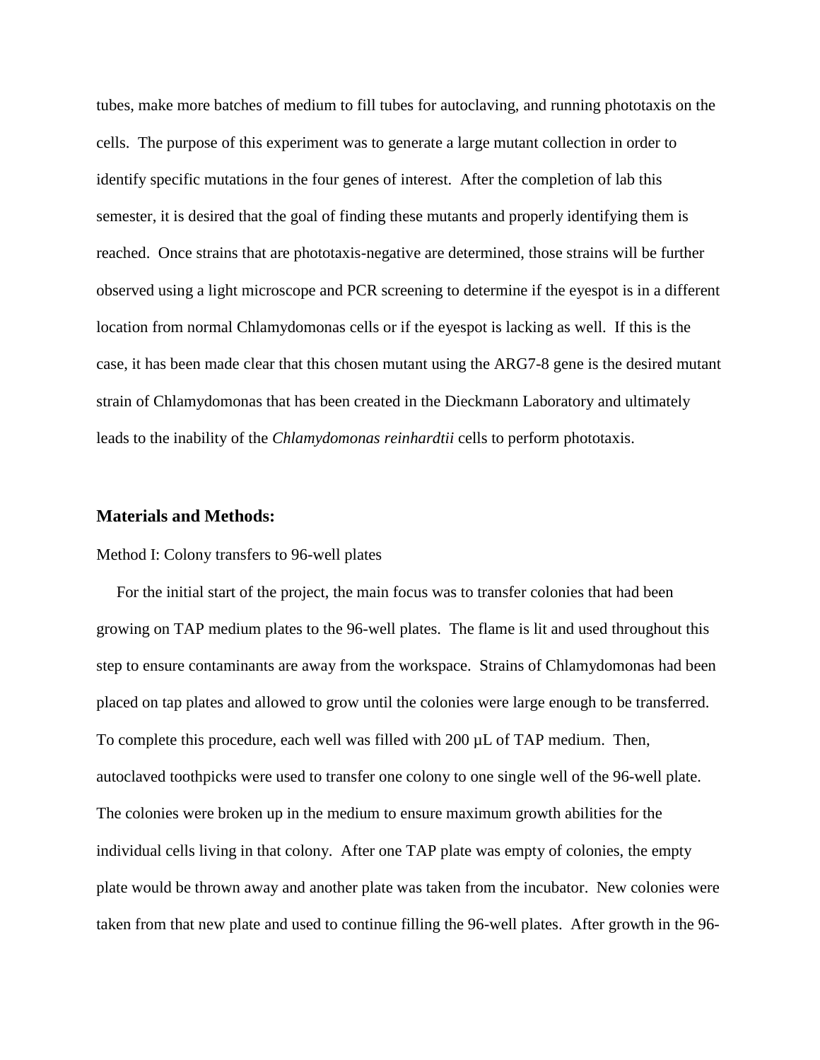tubes, make more batches of medium to fill tubes for autoclaving, and running phototaxis on the cells. The purpose of this experiment was to generate a large mutant collection in order to identify specific mutations in the four genes of interest. After the completion of lab this semester, it is desired that the goal of finding these mutants and properly identifying them is reached. Once strains that are phototaxis-negative are determined, those strains will be further observed using a light microscope and PCR screening to determine if the eyespot is in a different location from normal Chlamydomonas cells or if the eyespot is lacking as well. If this is the case, it has been made clear that this chosen mutant using the ARG7-8 gene is the desired mutant strain of Chlamydomonas that has been created in the Dieckmann Laboratory and ultimately leads to the inability of the *Chlamydomonas reinhardtii* cells to perform phototaxis.

#### **Materials and Methods:**

#### Method I: Colony transfers to 96-well plates

 For the initial start of the project, the main focus was to transfer colonies that had been growing on TAP medium plates to the 96-well plates. The flame is lit and used throughout this step to ensure contaminants are away from the workspace. Strains of Chlamydomonas had been placed on tap plates and allowed to grow until the colonies were large enough to be transferred. To complete this procedure, each well was filled with 200 µL of TAP medium. Then, autoclaved toothpicks were used to transfer one colony to one single well of the 96-well plate. The colonies were broken up in the medium to ensure maximum growth abilities for the individual cells living in that colony. After one TAP plate was empty of colonies, the empty plate would be thrown away and another plate was taken from the incubator. New colonies were taken from that new plate and used to continue filling the 96-well plates. After growth in the 96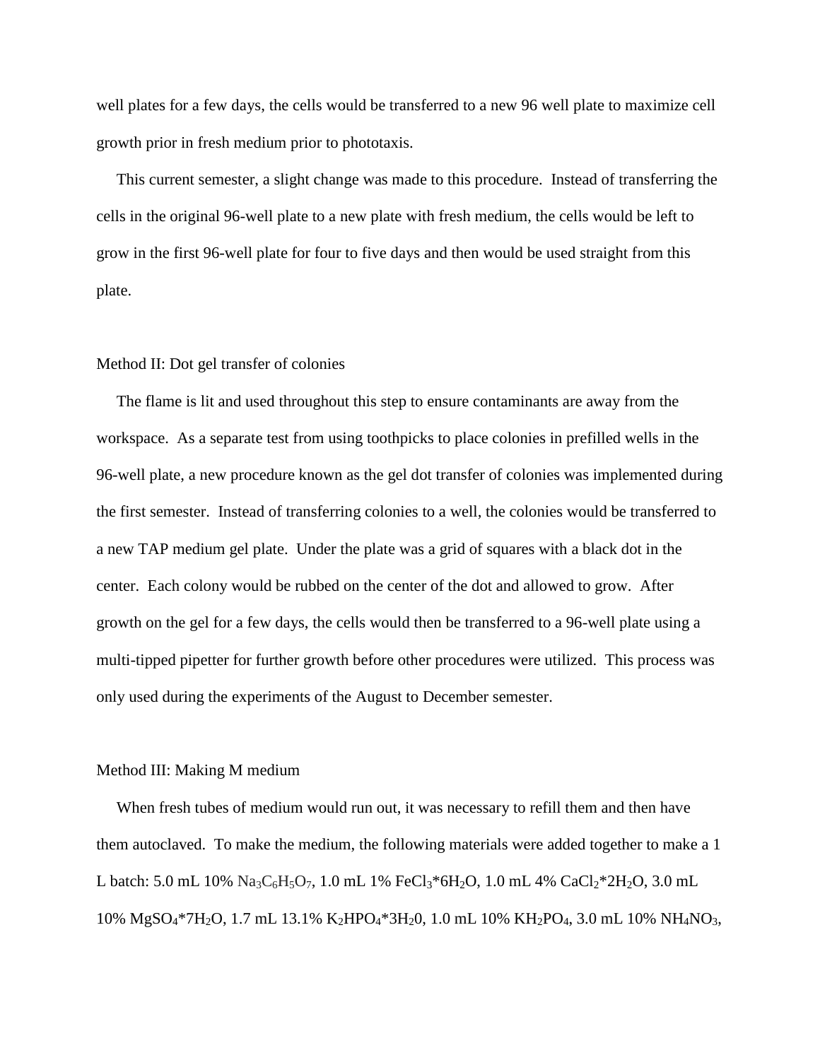well plates for a few days, the cells would be transferred to a new 96 well plate to maximize cell growth prior in fresh medium prior to phototaxis.

 This current semester, a slight change was made to this procedure. Instead of transferring the cells in the original 96-well plate to a new plate with fresh medium, the cells would be left to grow in the first 96-well plate for four to five days and then would be used straight from this plate.

#### Method II: Dot gel transfer of colonies

 The flame is lit and used throughout this step to ensure contaminants are away from the workspace. As a separate test from using toothpicks to place colonies in prefilled wells in the 96-well plate, a new procedure known as the gel dot transfer of colonies was implemented during the first semester. Instead of transferring colonies to a well, the colonies would be transferred to a new TAP medium gel plate. Under the plate was a grid of squares with a black dot in the center. Each colony would be rubbed on the center of the dot and allowed to grow. After growth on the gel for a few days, the cells would then be transferred to a 96-well plate using a multi-tipped pipetter for further growth before other procedures were utilized. This process was only used during the experiments of the August to December semester.

#### Method III: Making M medium

When fresh tubes of medium would run out, it was necessary to refill them and then have them autoclaved. To make the medium, the following materials were added together to make a 1 L batch: 5.0 mL 10%  $\text{Na}_3\text{C}_6\text{H}_5\text{O}_7$ , 1.0 mL 1% FeCl<sub>3</sub>\*6H<sub>2</sub>O, 1.0 mL 4% CaCl<sub>2</sub>\*2H<sub>2</sub>O, 3.0 mL 10% MgSO4\*7H2O, 1.7 mL 13.1% K2HPO4\*3H20, 1.0 mL 10% KH2PO4, 3.0 mL 10% NH4NO3,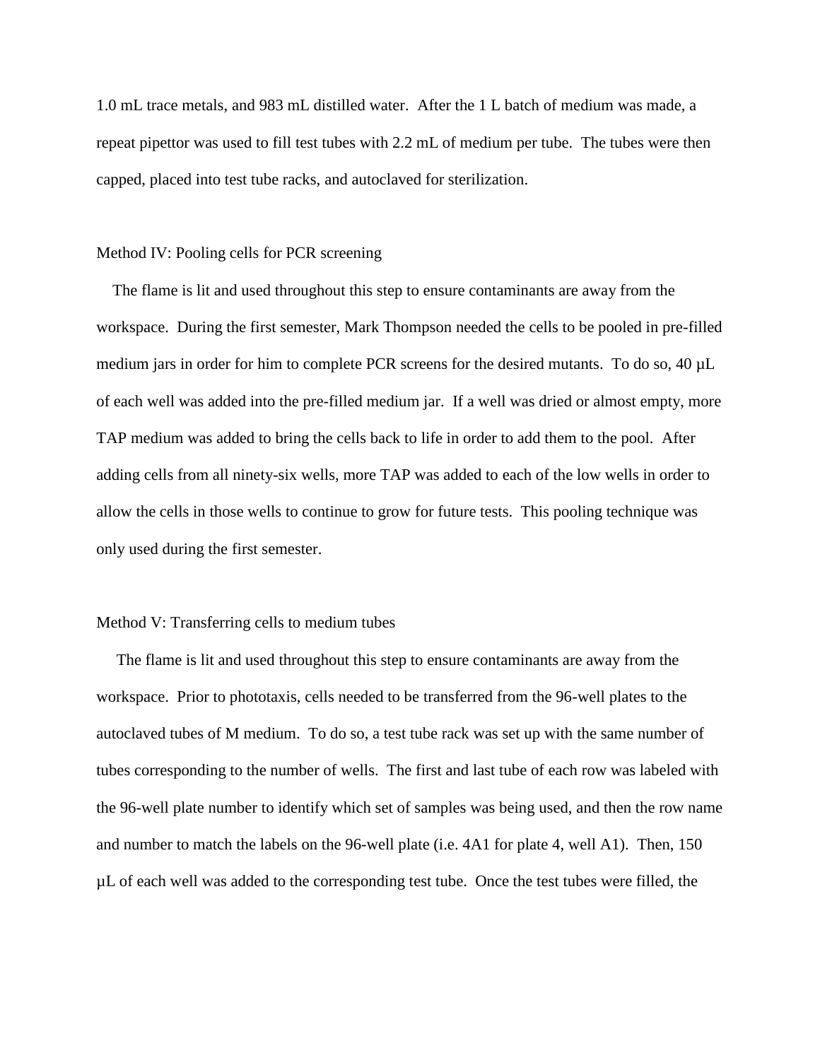1.0 mL trace metals, and 983 mL distilled water. After the 1 L batch of medium was made, a repeat pipettor was used to fill test tubes with 2.2 mL of medium per tube. The tubes were then capped, placed into test tube racks, and autoclaved for sterilization.

#### Method IV: Pooling cells for PCR screening

 The flame is lit and used throughout this step to ensure contaminants are away from the workspace. During the first semester, Mark Thompson needed the cells to be pooled in pre-filled medium jars in order for him to complete PCR screens for the desired mutants. To do so, 40 µL of each well was added into the pre-filled medium jar. If a well was dried or almost empty, more TAP medium was added to bring the cells back to life in order to add them to the pool. After adding cells from all ninety-six wells, more TAP was added to each of the low wells in order to allow the cells in those wells to continue to grow for future tests. This pooling technique was only used during the first semester.

#### Method V: Transferring cells to medium tubes

 The flame is lit and used throughout this step to ensure contaminants are away from the workspace. Prior to phototaxis, cells needed to be transferred from the 96-well plates to the autoclaved tubes of M medium. To do so, a test tube rack was set up with the same number of tubes corresponding to the number of wells. The first and last tube of each row was labeled with the 96-well plate number to identify which set of samples was being used, and then the row name and number to match the labels on the 96-well plate (i.e. 4A1 for plate 4, well A1). Then, 150 µL of each well was added to the corresponding test tube. Once the test tubes were filled, the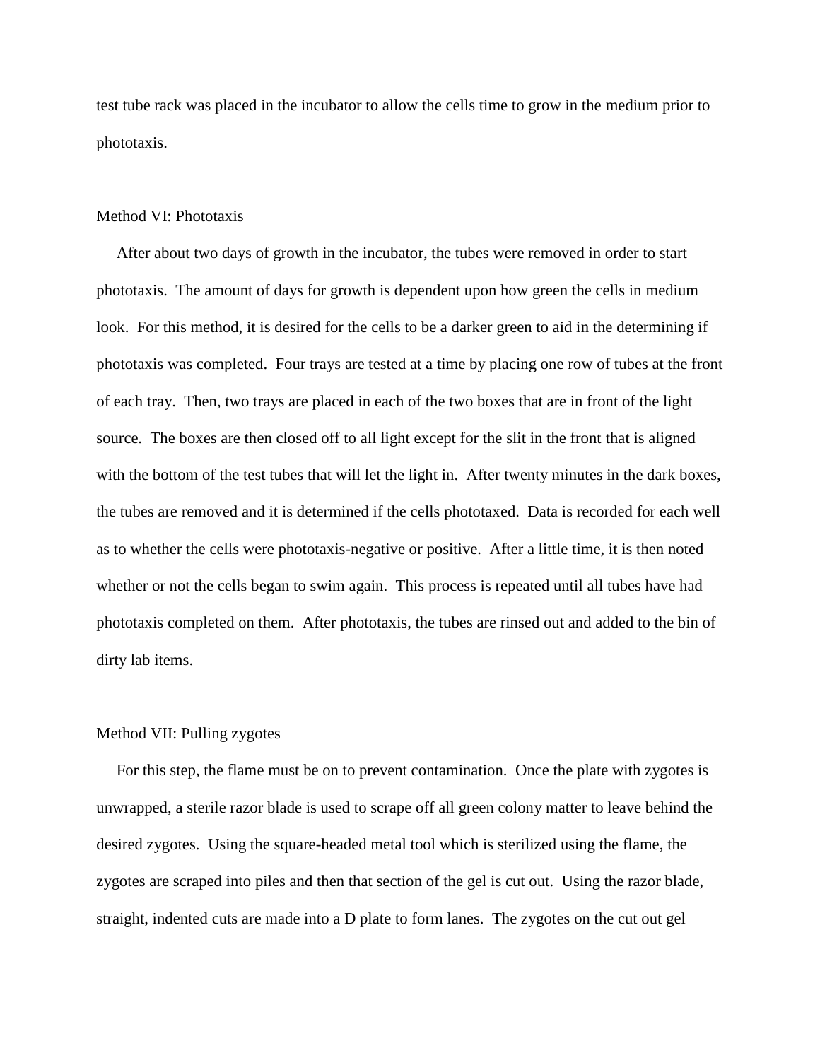test tube rack was placed in the incubator to allow the cells time to grow in the medium prior to phototaxis.

#### Method VI: Phototaxis

 After about two days of growth in the incubator, the tubes were removed in order to start phototaxis. The amount of days for growth is dependent upon how green the cells in medium look. For this method, it is desired for the cells to be a darker green to aid in the determining if phototaxis was completed. Four trays are tested at a time by placing one row of tubes at the front of each tray. Then, two trays are placed in each of the two boxes that are in front of the light source. The boxes are then closed off to all light except for the slit in the front that is aligned with the bottom of the test tubes that will let the light in. After twenty minutes in the dark boxes, the tubes are removed and it is determined if the cells phototaxed. Data is recorded for each well as to whether the cells were phototaxis-negative or positive. After a little time, it is then noted whether or not the cells began to swim again. This process is repeated until all tubes have had phototaxis completed on them. After phototaxis, the tubes are rinsed out and added to the bin of dirty lab items.

#### Method VII: Pulling zygotes

 For this step, the flame must be on to prevent contamination. Once the plate with zygotes is unwrapped, a sterile razor blade is used to scrape off all green colony matter to leave behind the desired zygotes. Using the square-headed metal tool which is sterilized using the flame, the zygotes are scraped into piles and then that section of the gel is cut out. Using the razor blade, straight, indented cuts are made into a D plate to form lanes. The zygotes on the cut out gel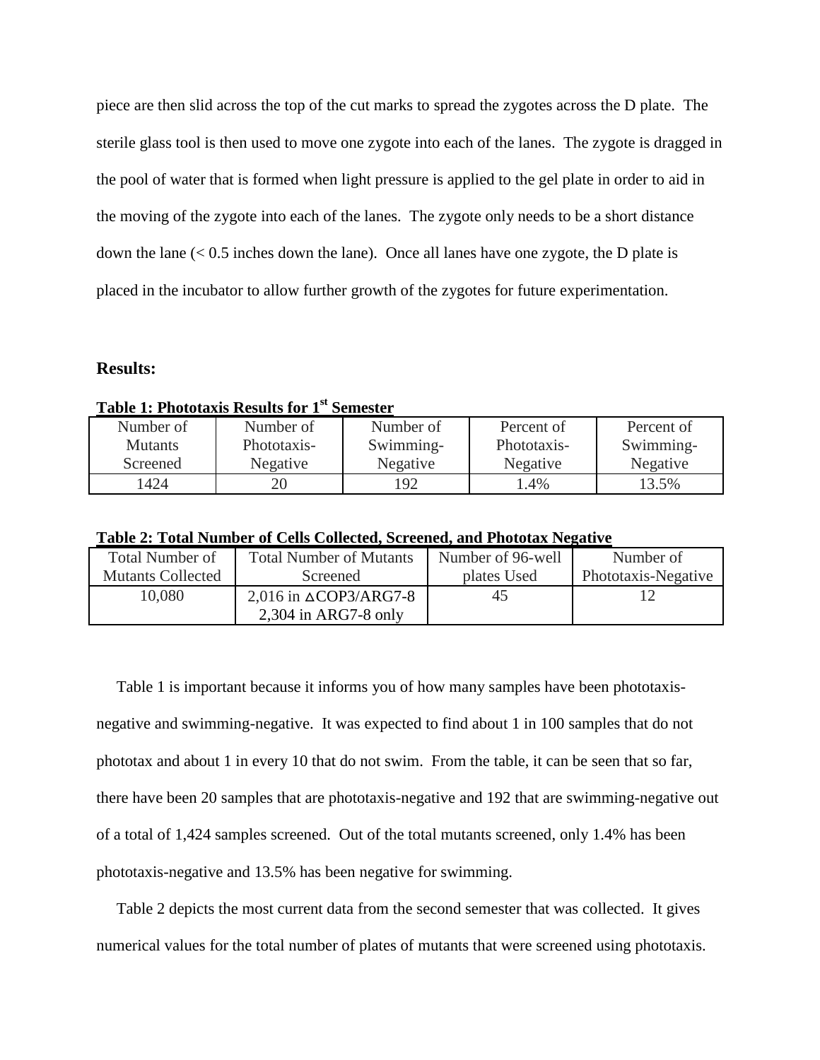piece are then slid across the top of the cut marks to spread the zygotes across the D plate. The sterile glass tool is then used to move one zygote into each of the lanes. The zygote is dragged in the pool of water that is formed when light pressure is applied to the gel plate in order to aid in the moving of the zygote into each of the lanes. The zygote only needs to be a short distance down the lane (< 0.5 inches down the lane). Once all lanes have one zygote, the D plate is placed in the incubator to allow further growth of the zygotes for future experimentation.

#### **Results:**

## **Table 1: Phototaxis Results for 1st Semester**

| Number of      | Number of   | Number of | Percent of  | Percent of |
|----------------|-------------|-----------|-------------|------------|
| <b>Mutants</b> | Phototaxis- | Swimming- | Phototaxis- | Swimming-  |
| Screened       | Negative    | Negative  | Negative    | Negative   |
| 1424           |             | .92       | $.4\%$      | 13.5%      |

**Table 2: Total Number of Cells Collected, Screened, and Phototax Negative** 

| Total Number of          | <b>Total Number of Mutants</b>   | Number of 96-well | Number of           |
|--------------------------|----------------------------------|-------------------|---------------------|
| <b>Mutants Collected</b> | Screened                         | plates Used       | Phototaxis-Negative |
| 10.080                   | 2,016 in $\triangle$ COP3/ARG7-8 | 45                |                     |
|                          | $2,304$ in ARG7-8 only           |                   |                     |

 Table 1 is important because it informs you of how many samples have been phototaxisnegative and swimming-negative. It was expected to find about 1 in 100 samples that do not phototax and about 1 in every 10 that do not swim. From the table, it can be seen that so far, there have been 20 samples that are phototaxis-negative and 192 that are swimming-negative out of a total of 1,424 samples screened. Out of the total mutants screened, only 1.4% has been phototaxis-negative and 13.5% has been negative for swimming.

 Table 2 depicts the most current data from the second semester that was collected. It gives numerical values for the total number of plates of mutants that were screened using phototaxis.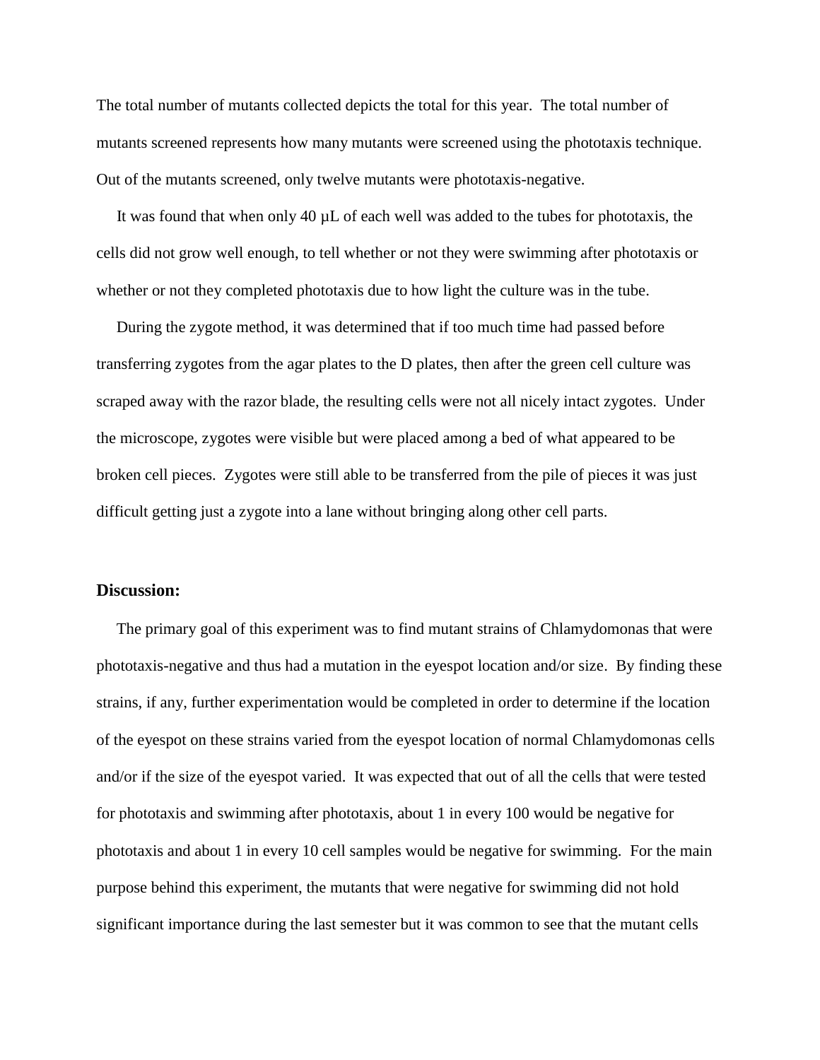The total number of mutants collected depicts the total for this year. The total number of mutants screened represents how many mutants were screened using the phototaxis technique. Out of the mutants screened, only twelve mutants were phototaxis-negative.

 It was found that when only 40 µL of each well was added to the tubes for phototaxis, the cells did not grow well enough, to tell whether or not they were swimming after phototaxis or whether or not they completed phototaxis due to how light the culture was in the tube.

 During the zygote method, it was determined that if too much time had passed before transferring zygotes from the agar plates to the D plates, then after the green cell culture was scraped away with the razor blade, the resulting cells were not all nicely intact zygotes. Under the microscope, zygotes were visible but were placed among a bed of what appeared to be broken cell pieces. Zygotes were still able to be transferred from the pile of pieces it was just difficult getting just a zygote into a lane without bringing along other cell parts.

#### **Discussion:**

 The primary goal of this experiment was to find mutant strains of Chlamydomonas that were phototaxis-negative and thus had a mutation in the eyespot location and/or size. By finding these strains, if any, further experimentation would be completed in order to determine if the location of the eyespot on these strains varied from the eyespot location of normal Chlamydomonas cells and/or if the size of the eyespot varied. It was expected that out of all the cells that were tested for phototaxis and swimming after phototaxis, about 1 in every 100 would be negative for phototaxis and about 1 in every 10 cell samples would be negative for swimming. For the main purpose behind this experiment, the mutants that were negative for swimming did not hold significant importance during the last semester but it was common to see that the mutant cells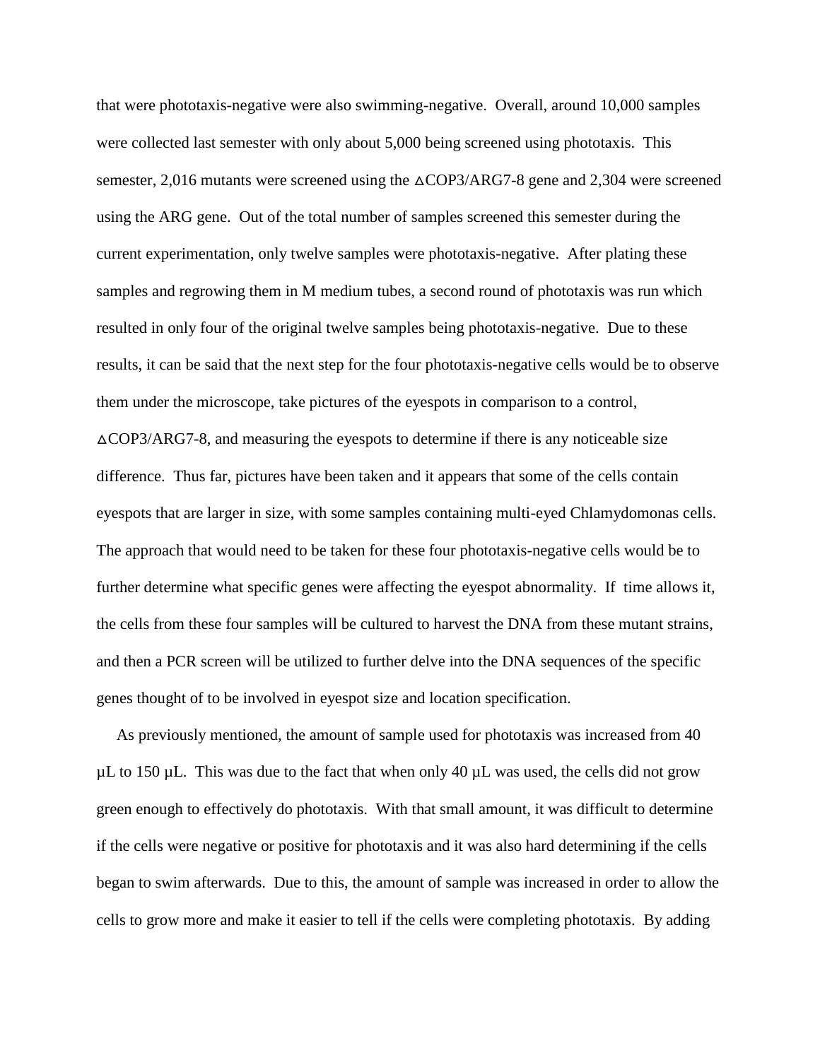that were phototaxis-negative were also swimming-negative. Overall, around 10,000 samples were collected last semester with only about 5,000 being screened using phototaxis. This semester, 2,016 mutants were screened using the  $\triangle$ COP3/ARG7-8 gene and 2,304 were screened using the ARG gene. Out of the total number of samples screened this semester during the current experimentation, only twelve samples were phototaxis-negative. After plating these samples and regrowing them in M medium tubes, a second round of phototaxis was run which resulted in only four of the original twelve samples being phototaxis-negative. Due to these results, it can be said that the next step for the four phototaxis-negative cells would be to observe them under the microscope, take pictures of the eyespots in comparison to a control,  $\triangle$ COP3/ARG7-8, and measuring the eyespots to determine if there is any noticeable size difference. Thus far, pictures have been taken and it appears that some of the cells contain eyespots that are larger in size, with some samples containing multi-eyed Chlamydomonas cells. The approach that would need to be taken for these four phototaxis-negative cells would be to further determine what specific genes were affecting the eyespot abnormality. If time allows it, the cells from these four samples will be cultured to harvest the DNA from these mutant strains, and then a PCR screen will be utilized to further delve into the DNA sequences of the specific genes thought of to be involved in eyespot size and location specification.

 As previously mentioned, the amount of sample used for phototaxis was increased from 40  $\mu$ L to 150  $\mu$ L. This was due to the fact that when only 40  $\mu$ L was used, the cells did not grow green enough to effectively do phototaxis. With that small amount, it was difficult to determine if the cells were negative or positive for phototaxis and it was also hard determining if the cells began to swim afterwards. Due to this, the amount of sample was increased in order to allow the cells to grow more and make it easier to tell if the cells were completing phototaxis. By adding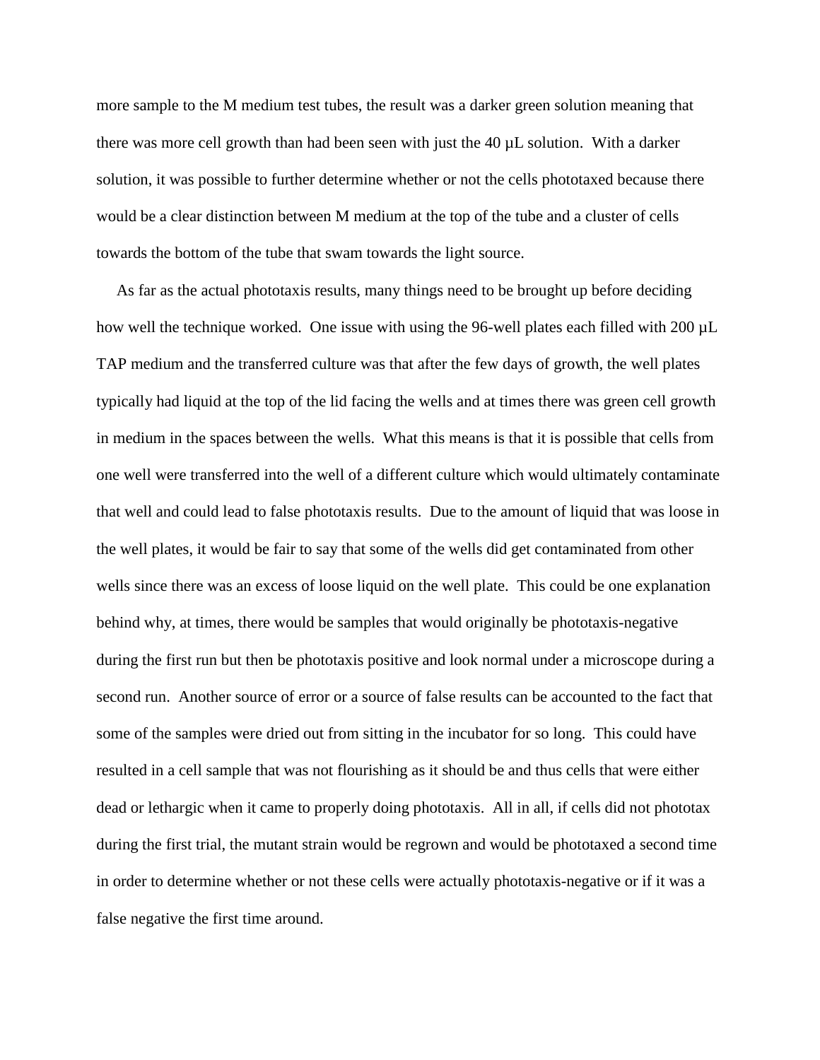more sample to the M medium test tubes, the result was a darker green solution meaning that there was more cell growth than had been seen with just the 40 µL solution. With a darker solution, it was possible to further determine whether or not the cells phototaxed because there would be a clear distinction between M medium at the top of the tube and a cluster of cells towards the bottom of the tube that swam towards the light source.

 As far as the actual phototaxis results, many things need to be brought up before deciding how well the technique worked. One issue with using the 96-well plates each filled with 200 µL TAP medium and the transferred culture was that after the few days of growth, the well plates typically had liquid at the top of the lid facing the wells and at times there was green cell growth in medium in the spaces between the wells. What this means is that it is possible that cells from one well were transferred into the well of a different culture which would ultimately contaminate that well and could lead to false phototaxis results. Due to the amount of liquid that was loose in the well plates, it would be fair to say that some of the wells did get contaminated from other wells since there was an excess of loose liquid on the well plate. This could be one explanation behind why, at times, there would be samples that would originally be phototaxis-negative during the first run but then be phototaxis positive and look normal under a microscope during a second run. Another source of error or a source of false results can be accounted to the fact that some of the samples were dried out from sitting in the incubator for so long. This could have resulted in a cell sample that was not flourishing as it should be and thus cells that were either dead or lethargic when it came to properly doing phototaxis. All in all, if cells did not phototax during the first trial, the mutant strain would be regrown and would be phototaxed a second time in order to determine whether or not these cells were actually phototaxis-negative or if it was a false negative the first time around.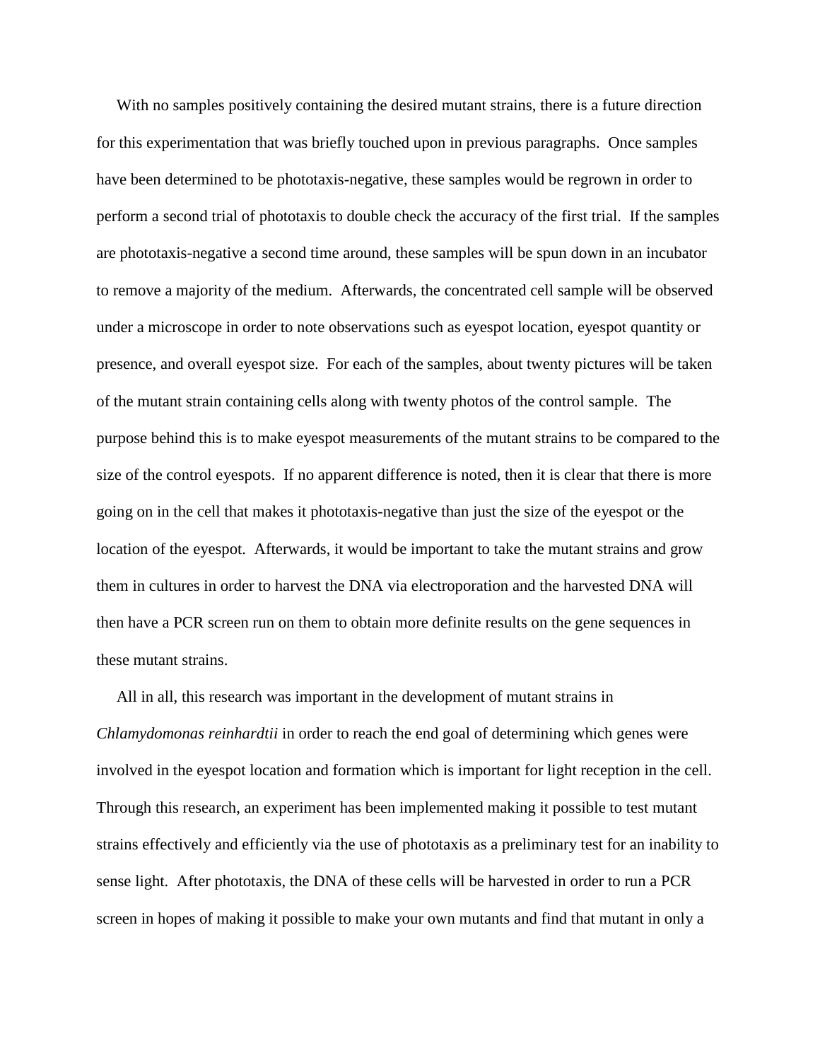With no samples positively containing the desired mutant strains, there is a future direction for this experimentation that was briefly touched upon in previous paragraphs. Once samples have been determined to be phototaxis-negative, these samples would be regrown in order to perform a second trial of phototaxis to double check the accuracy of the first trial. If the samples are phototaxis-negative a second time around, these samples will be spun down in an incubator to remove a majority of the medium. Afterwards, the concentrated cell sample will be observed under a microscope in order to note observations such as eyespot location, eyespot quantity or presence, and overall eyespot size. For each of the samples, about twenty pictures will be taken of the mutant strain containing cells along with twenty photos of the control sample. The purpose behind this is to make eyespot measurements of the mutant strains to be compared to the size of the control eyespots. If no apparent difference is noted, then it is clear that there is more going on in the cell that makes it phototaxis-negative than just the size of the eyespot or the location of the eyespot. Afterwards, it would be important to take the mutant strains and grow them in cultures in order to harvest the DNA via electroporation and the harvested DNA will then have a PCR screen run on them to obtain more definite results on the gene sequences in these mutant strains.

 All in all, this research was important in the development of mutant strains in *Chlamydomonas reinhardtii* in order to reach the end goal of determining which genes were involved in the eyespot location and formation which is important for light reception in the cell. Through this research, an experiment has been implemented making it possible to test mutant strains effectively and efficiently via the use of phototaxis as a preliminary test for an inability to sense light. After phototaxis, the DNA of these cells will be harvested in order to run a PCR screen in hopes of making it possible to make your own mutants and find that mutant in only a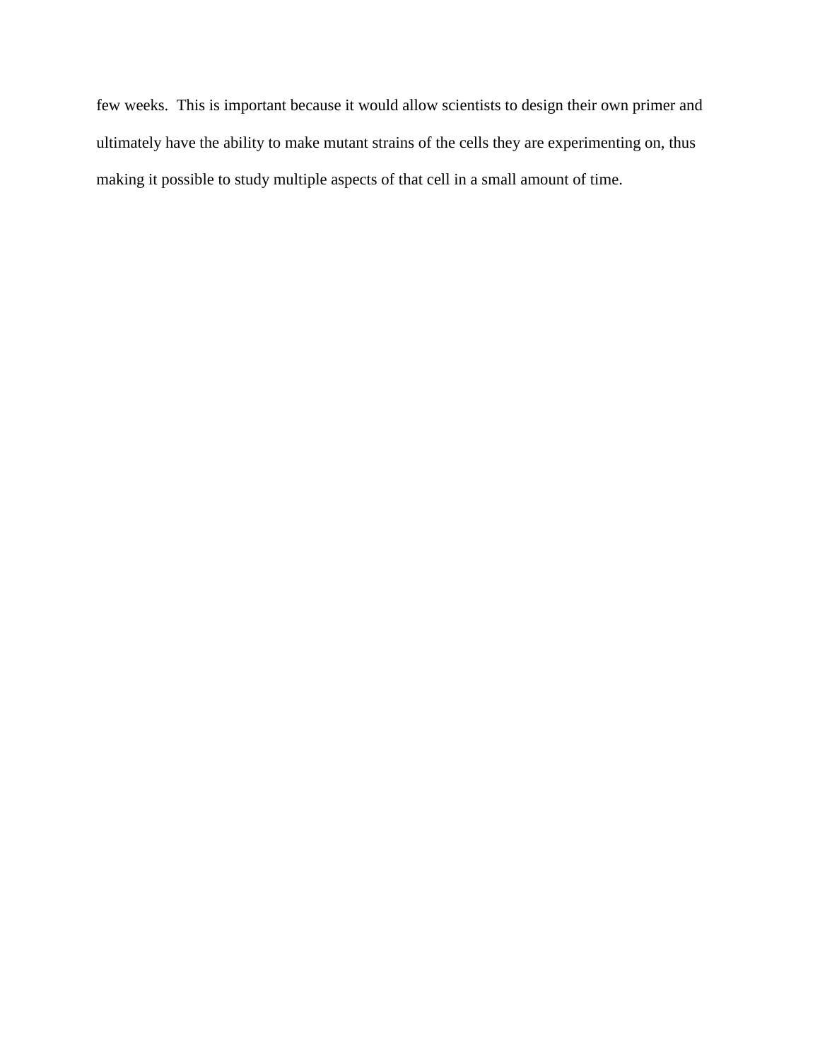few weeks. This is important because it would allow scientists to design their own primer and ultimately have the ability to make mutant strains of the cells they are experimenting on, thus making it possible to study multiple aspects of that cell in a small amount of time.